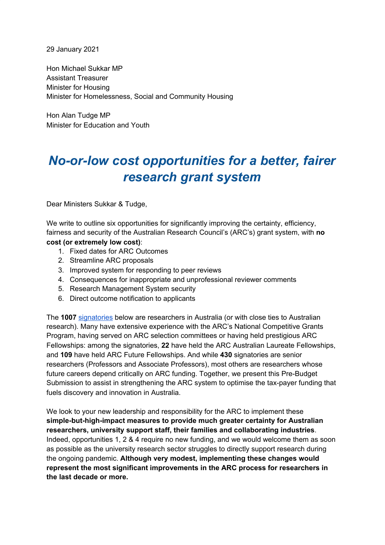29 January 2021

Hon Michael Sukkar MP Assistant Treasurer Minister for Housing Minister for Homelessness, Social and Community Housing

Hon Alan Tudge MP Minister for Education and Youth

# *No-or-low cost opportunities for a better, fairer research grant system*

Dear Ministers Sukkar & Tudge,

We write to outline six opportunities for significantly improving the certainty, efficiency, fairness and security of the Australian Research Council's (ARC's) grant system, with **no cost (or extremely low cost)**:

- 1. Fixed dates for ARC Outcomes
- 2. Streamline ARC proposals
- 3. Improved system for responding to peer reviews
- 4. Consequences for inappropriate and unprofessional reviewer comments
- 5. Research Management System security
- 6. Direct outcome notification to applicants

The **1007** [signatories](#page-9-0) below are researchers in Australia (or with close ties to Australian research). Many have extensive experience with the ARC's National Competitive Grants Program, having served on ARC selection committees or having held prestigious ARC Fellowships: among the signatories, **22** have held the ARC Australian Laureate Fellowships, and **109** have held ARC Future Fellowships. And while **430** signatories are senior researchers (Professors and Associate Professors), most others are researchers whose future careers depend critically on ARC funding. Together, we present this Pre-Budget Submission to assist in strengthening the ARC system to optimise the tax-payer funding that fuels discovery and innovation in Australia.

We look to your new leadership and responsibility for the ARC to implement these **simple-but-high-impact measures to provide much greater certainty for Australian researchers, university support staff, their families and collaborating industries**. Indeed, opportunities 1, 2 & 4 require no new funding, and we would welcome them as soon as possible as the university research sector struggles to directly support research during the ongoing pandemic. **Although very modest, implementing these changes would represent the most significant improvements in the ARC process for researchers in the last decade or more.**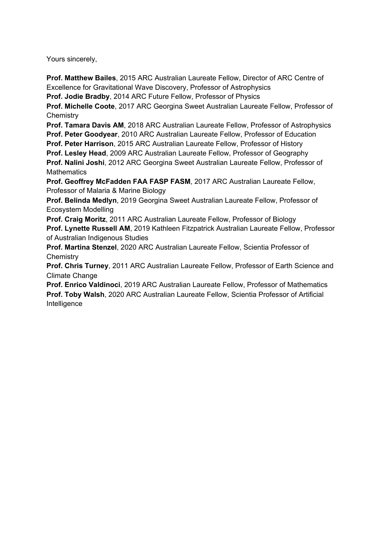Yours sincerely,

**Prof. Matthew Bailes**, 2015 ARC Australian Laureate Fellow, Director of ARC Centre of Excellence for Gravitational Wave Discovery, Professor of Astrophysics

**Prof. Jodie Bradby**, 2014 ARC Future Fellow, Professor of Physics

**Prof. Michelle Coote**, 2017 ARC Georgina Sweet Australian Laureate Fellow, Professor of **Chemistry** 

**Prof. Tamara Davis AM**, 2018 ARC Australian Laureate Fellow, Professor of Astrophysics **Prof. Peter Goodyear**, 2010 ARC Australian Laureate Fellow, Professor of Education

**Prof. Peter Harrison**, 2015 ARC Australian Laureate Fellow, Professor of History

**Prof. Lesley Head**, 2009 ARC Australian Laureate Fellow, Professor of Geography

**Prof. Nalini Joshi**, 2012 ARC Georgina Sweet Australian Laureate Fellow, Professor of **Mathematics** 

**Prof. Geoffrey McFadden FAA FASP FASM**, 2017 ARC Australian Laureate Fellow, Professor of Malaria & Marine Biology

**Prof. Belinda Medlyn**, 2019 Georgina Sweet Australian Laureate Fellow, Professor of Ecosystem Modelling

**Prof. Craig Moritz**, 2011 ARC Australian Laureate Fellow, Professor of Biology **Prof. Lynette Russell AM**, 2019 Kathleen Fitzpatrick Australian Laureate Fellow, Professor of Australian Indigenous Studies

**Prof. Martina Stenzel**, 2020 ARC Australian Laureate Fellow, Scientia Professor of **Chemistry** 

**Prof. Chris Turney**, 2011 ARC Australian Laureate Fellow, Professor of Earth Science and Climate Change

**Prof. Enrico Valdinoci**, 2019 ARC Australian Laureate Fellow, Professor of Mathematics **Prof. Toby Walsh**, 2020 ARC Australian Laureate Fellow, Scientia Professor of Artificial Intelligence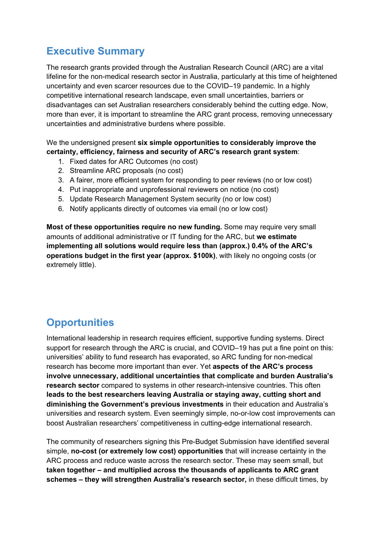# **Executive Summary**

The research grants provided through the Australian Research Council (ARC) are a vital lifeline for the non-medical research sector in Australia, particularly at this time of heightened uncertainty and even scarcer resources due to the COVID–19 pandemic. In a highly competitive international research landscape, even small uncertainties, barriers or disadvantages can set Australian researchers considerably behind the cutting edge. Now, more than ever, it is important to streamline the ARC grant process, removing unnecessary uncertainties and administrative burdens where possible.

We the undersigned present **six simple opportunities to considerably improve the certainty, efficiency, fairness and security of ARC's research grant system**:

- 1. Fixed dates for ARC Outcomes (no cost)
- 2. Streamline ARC proposals (no cost)
- 3. A fairer, more efficient system for responding to peer reviews (no or low cost)
- 4. Put inappropriate and unprofessional reviewers on notice (no cost)
- 5. Update Research Management System security (no or low cost)
- 6. Notify applicants directly of outcomes via email (no or low cost)

**Most of these opportunities require no new funding.** Some may require very small amounts of additional administrative or IT funding for the ARC, but **we estimate implementing all solutions would require less than (approx.) 0.4% of the ARC's operations budget in the first year (approx. \$100k)**, with likely no ongoing costs (or extremely little).

# **Opportunities**

International leadership in research requires efficient, supportive funding systems. Direct support for research through the ARC is crucial, and COVID–19 has put a fine point on this: universities' ability to fund research has evaporated, so ARC funding for non-medical research has become more important than ever. Yet **aspects of the ARC's process involve unnecessary, additional uncertainties that complicate and burden Australia's research sector** compared to systems in other research-intensive countries. This often **leads to the best researchers leaving Australia or staying away, cutting short and diminishing the Government's previous investments** in their education and Australia's universities and research system. Even seemingly simple, no-or-low cost improvements can boost Australian researchers' competitiveness in cutting-edge international research.

The community of researchers signing this Pre-Budget Submission have identified several simple, **no-cost (or extremely low cost) opportunities** that will increase certainty in the ARC process and reduce waste across the research sector. These may seem small, but **taken together – and multiplied across the thousands of applicants to ARC grant schemes – they will strengthen Australia's research sector,** in these difficult times, by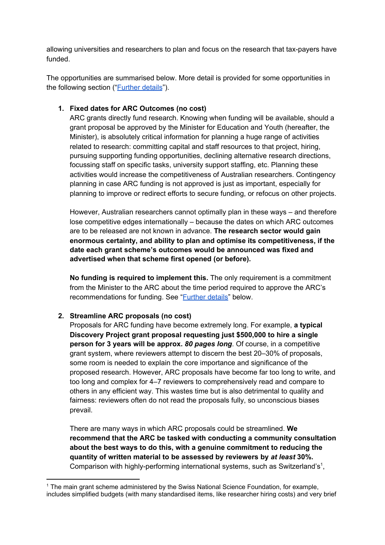allowing universities and researchers to plan and focus on the research that tax-payers have funded.

The opportunities are summarised below. More detail is provided for some opportunities in the following section ("[Further](#page-5-0) details").

#### **1. Fixed dates for ARC Outcomes (no cost)**

ARC grants directly fund research. Knowing when funding will be available, should a grant proposal be approved by the Minister for Education and Youth (hereafter, the Minister), is absolutely critical information for planning a huge range of activities related to research: committing capital and staff resources to that project, hiring, pursuing supporting funding opportunities, declining alternative research directions, focussing staff on specific tasks, university support staffing, etc. Planning these activities would increase the competitiveness of Australian researchers. Contingency planning in case ARC funding is not approved is just as important, especially for planning to improve or redirect efforts to secure funding, or refocus on other projects.

However, Australian researchers cannot optimally plan in these ways – and therefore lose competitive edges internationally – because the dates on which ARC outcomes are to be released are not known in advance. **The research sector would gain enormous certainty, and ability to plan and optimise its competitiveness, if the date each grant scheme's outcomes would be announced was fixed and advertised when that scheme first opened (or before).**

**No funding is required to implement this.** The only requirement is a commitment from the Minister to the ARC about the time period required to approve the ARC's recommendations for funding. See "*[Further](#page-5-0) details*" below.

#### **2. Streamline ARC proposals (no cost)**

Proposals for ARC funding have become extremely long. For example, **a typical Discovery Project grant proposal requesting just \$500,000 to hire a single person for 3 years will be approx.** *80 pages long*. Of course, in a competitive grant system, where reviewers attempt to discern the best 20–30% of proposals, some room is needed to explain the core importance and significance of the proposed research. However, ARC proposals have become far too long to write, and too long and complex for 4–7 reviewers to comprehensively read and compare to others in any efficient way. This wastes time but is also detrimental to quality and fairness: reviewers often do not read the proposals fully, so unconscious biases prevail.

There are many ways in which ARC proposals could be streamlined. **We recommend that the ARC be tasked with conducting a community consultation about the best ways to do this, with a genuine commitment to reducing the quantity of written material to be assessed by reviewers by** *at least* **30%.** Comparison with highly-performing international systems, such as Switzerland's<sup>1</sup>,

<sup>&</sup>lt;sup>1</sup> The main grant scheme administered by the Swiss National Science Foundation, for example, includes simplified budgets (with many standardised items, like researcher hiring costs) and very brief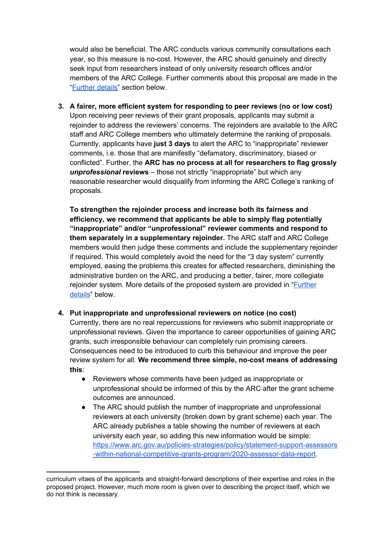would also be beneficial. The ARC conducts various community consultations each year, so this measure is no-cost. However, the ARC should genuinely and directly seek input from researchers instead of only university research offices and/or members of the ARC College. Further comments about this proposal are made in the "[Further](#page-5-0) details" section below.

**3. A fairer, more efficient system for responding to peer reviews (no or low cost)** Upon receiving peer reviews of their grant proposals, applicants may submit a rejoinder to address the reviewers' concerns. The rejoinders are available to the ARC staff and ARC College members who ultimately determine the ranking of proposals. Currently, applicants have **just 3 days** to alert the ARC to "inappropriate" reviewer comments, i.e. those that are manifestly "defamatory, discriminatory, biased or conflicted". Further, the **ARC has no process at all for researchers to flag grossly** *unprofessional* **reviews** – those not strictly "inappropriate" but which any reasonable researcher would disqualify from informing the ARC College's ranking of proposals.

**To strengthen the rejoinder process and increase both its fairness and efficiency, we recommend that applicants be able to simply flag potentially "inappropriate" and/or "unprofessional" reviewer comments and respond to them separately in a supplementary rejoinder.** The ARC staff and ARC College members would then judge these comments and include the supplementary rejoinder if required. This would completely avoid the need for the "3 day system" currently employed, easing the problems this creates for affected researchers, diminishing the administrative burden on the ARC, and producing a better, fairer, more collegiate rejoinder system. More details of the proposed system are provided in "[Further](#page-5-0) [details"](#page-5-0) below.

**4. Put inappropriate and unprofessional reviewers on notice (no cost)**

Currently, there are no real repercussions for reviewers who submit inappropriate or unprofessional reviews. Given the importance to career opportunities of gaining ARC grants, such irresponsible behaviour can completely ruin promising careers. Consequences need to be introduced to curb this behaviour and improve the peer review system for all. **We recommend three simple, no-cost means of addressing this**:

- Reviewers whose comments have been judged as inappropriate or unprofessional should be informed of this by the ARC after the grant scheme outcomes are announced.
- The ARC should publish the number of inappropriate and unprofessional reviewers at each university (broken down by grant scheme) each year. The ARC already publishes a table showing the number of reviewers at each university each year, so adding this new information would be simple: [https://www.arc.gov.au/policies-strategies/policy/statement-support-assessors](https://www.arc.gov.au/policies-strategies/policy/statement-support-assessors-within-national-competitive-grants-program/2020-assessor-data-report) [-within-national-competitive-grants-program/2020-assessor-data-report.](https://www.arc.gov.au/policies-strategies/policy/statement-support-assessors-within-national-competitive-grants-program/2020-assessor-data-report)

curriculum vitaes of the applicants and straight-forward descriptions of their expertise and roles in the proposed project. However, much more room is given over to describing the project itself, which we do not think is necessary.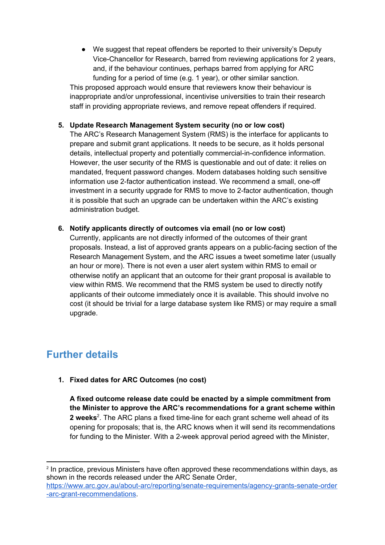● We suggest that repeat offenders be reported to their university's Deputy Vice-Chancellor for Research, barred from reviewing applications for 2 years, and, if the behaviour continues, perhaps barred from applying for ARC funding for a period of time (e.g. 1 year), or other similar sanction.

This proposed approach would ensure that reviewers know their behaviour is inappropriate and/or unprofessional, incentivise universities to train their research staff in providing appropriate reviews, and remove repeat offenders if required.

#### **5. Update Research Management System security (no or low cost)**

The ARC's Research Management System (RMS) is the interface for applicants to prepare and submit grant applications. It needs to be secure, as it holds personal details, intellectual property and potentially commercial-in-confidence information. However, the user security of the RMS is questionable and out of date: it relies on mandated, frequent password changes. Modern databases holding such sensitive information use 2-factor authentication instead. We recommend a small, one-off investment in a security upgrade for RMS to move to 2-factor authentication, though it is possible that such an upgrade can be undertaken within the ARC's existing administration budget.

**6. Notify applicants directly of outcomes via email (no or low cost)**

Currently, applicants are not directly informed of the outcomes of their grant proposals. Instead, a list of approved grants appears on a public-facing section of the Research Management System, and the ARC issues a tweet sometime later (usually an hour or more). There is not even a user alert system within RMS to email or otherwise notify an applicant that an outcome for their grant proposal is available to view within RMS. We recommend that the RMS system be used to directly notify applicants of their outcome immediately once it is available. This should involve no cost (it should be trivial for a large database system like RMS) or may require a small upgrade.

### <span id="page-5-0"></span>**Further details**

**1. Fixed dates for ARC Outcomes (no cost)**

**A fixed outcome release date could be enacted by a simple commitment from the Minister to approve the ARC's recommendations for a grant scheme within** 2 weeks<sup>2</sup>. The ARC plans a fixed time-line for each grant scheme well ahead of its opening for proposals; that is, the ARC knows when it will send its recommendations for funding to the Minister. With a 2-week approval period agreed with the Minister,

<sup>2</sup> In practice, previous Ministers have often approved these recommendations within days, as shown in the records released under the ARC Senate Order, [https://www.arc.gov.au/about-arc/reporting/senate-requirements/agency-grants-senate-order](https://www.arc.gov.au/about-arc/reporting/senate-requirements/agency-grants-senate-order-arc-grant-recommendations) [-arc-grant-recommendations.](https://www.arc.gov.au/about-arc/reporting/senate-requirements/agency-grants-senate-order-arc-grant-recommendations)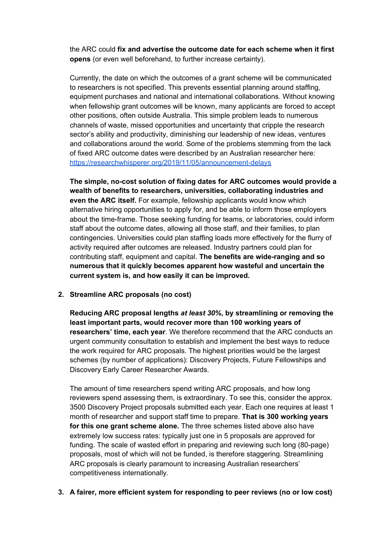the ARC could **fix and advertise the outcome date for each scheme when it first opens** (or even well beforehand, to further increase certainty).

Currently, the date on which the outcomes of a grant scheme will be communicated to researchers is not specified. This prevents essential planning around staffing, equipment purchases and national and international collaborations. Without knowing when fellowship grant outcomes will be known, many applicants are forced to accept other positions, often outside Australia. This simple problem leads to numerous channels of waste, missed opportunities and uncertainty that cripple the research sector's ability and productivity, diminishing our leadership of new ideas, ventures and collaborations around the world. Some of the problems stemming from the lack of fixed ARC outcome dates were described by an Australian researcher here: <https://researchwhisperer.org/2019/11/05/announcement-delays>

**The simple, no-cost solution of fixing dates for ARC outcomes would provide a wealth of benefits to researchers, universities, collaborating industries and even the ARC itself.** For example, fellowship applicants would know which alternative hiring opportunities to apply for, and be able to inform those employers about the time-frame. Those seeking funding for teams, or laboratories, could inform staff about the outcome dates, allowing all those staff, and their families, to plan contingencies. Universities could plan staffing loads more effectively for the flurry of activity required after outcomes are released. Industry partners could plan for contributing staff, equipment and capital. **The benefits are wide-ranging and so numerous that it quickly becomes apparent how wasteful and uncertain the current system is, and how easily it can be improved.**

#### **2. Streamline ARC proposals (no cost)**

**Reducing ARC proposal lengths** *at least 30%***, by streamlining or removing the least important parts, would recover more than 100 working years of researchers' time, each year**. We therefore recommend that the ARC conducts an urgent community consultation to establish and implement the best ways to reduce the work required for ARC proposals. The highest priorities would be the largest schemes (by number of applications): Discovery Projects, Future Fellowships and Discovery Early Career Researcher Awards.

The amount of time researchers spend writing ARC proposals, and how long reviewers spend assessing them, is extraordinary. To see this, consider the approx. 3500 Discovery Project proposals submitted each year. Each one requires at least 1 month of researcher and support staff time to prepare. **That is 300 working years for this one grant scheme alone.** The three schemes listed above also have extremely low success rates: typically just one in 5 proposals are approved for funding. The scale of wasted effort in preparing and reviewing such long (80-page) proposals, most of which will not be funded, is therefore staggering. Streamlining ARC proposals is clearly paramount to increasing Australian researchers' competitiveness internationally.

**3. A fairer, more efficient system for responding to peer reviews (no or low cost)**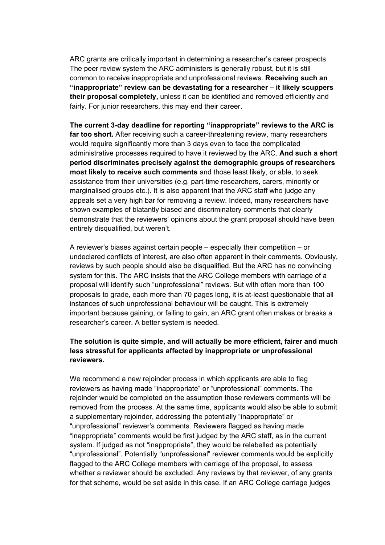ARC grants are critically important in determining a researcher's career prospects. The peer review system the ARC administers is generally robust, but it is still common to receive inappropriate and unprofessional reviews. **Receiving such an "inappropriate" review can be devastating for a researcher – it likely scuppers their proposal completely,** unless it can be identified and removed efficiently and fairly. For junior researchers, this may end their career.

**The current 3-day deadline for reporting "inappropriate" reviews to the ARC is far too short.** After receiving such a career-threatening review, many researchers would require significantly more than 3 days even to face the complicated administrative processes required to have it reviewed by the ARC. **And such a short period discriminates precisely against the demographic groups of researchers most likely to receive such comments** and those least likely, or able, to seek assistance from their universities (e.g. part-time researchers, carers, minority or marginalised groups etc.). It is also apparent that the ARC staff who judge any appeals set a very high bar for removing a review. Indeed, many researchers have shown examples of blatantly biased and discriminatory comments that clearly demonstrate that the reviewers' opinions about the grant proposal should have been entirely disqualified, but weren't.

A reviewer's biases against certain people – especially their competition – or undeclared conflicts of interest, are also often apparent in their comments. Obviously, reviews by such people should also be disqualified. But the ARC has no convincing system for this. The ARC insists that the ARC College members with carriage of a proposal will identify such "unprofessional" reviews. But with often more than 100 proposals to grade, each more than 70 pages long, it is at-least questionable that all instances of such unprofessional behaviour will be caught. This is extremely important because gaining, or failing to gain, an ARC grant often makes or breaks a researcher's career. A better system is needed.

#### **The solution is quite simple, and will actually be more efficient, fairer and much less stressful for applicants affected by inappropriate or unprofessional reviewers.**

We recommend a new rejoinder process in which applicants are able to flag reviewers as having made "inappropriate" or "unprofessional" comments. The rejoinder would be completed on the assumption those reviewers comments will be removed from the process. At the same time, applicants would also be able to submit a supplementary rejoinder, addressing the potentially "inappropriate" or "unprofessional" reviewer's comments. Reviewers flagged as having made "inappropriate" comments would be first judged by the ARC staff, as in the current system. If judged as not "inappropriate", they would be relabelled as potentially "unprofessional". Potentially "unprofessional" reviewer comments would be explicitly flagged to the ARC College members with carriage of the proposal, to assess whether a reviewer should be excluded. Any reviews by that reviewer, of any grants for that scheme, would be set aside in this case. If an ARC College carriage judges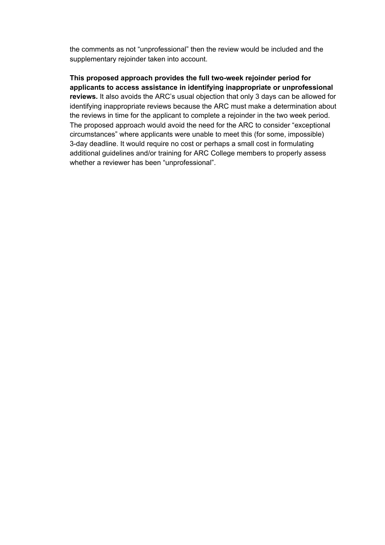the comments as not "unprofessional" then the review would be included and the supplementary rejoinder taken into account.

**This proposed approach provides the full two-week rejoinder period for applicants to access assistance in identifying inappropriate or unprofessional reviews.** It also avoids the ARC's usual objection that only 3 days can be allowed for identifying inappropriate reviews because the ARC must make a determination about the reviews in time for the applicant to complete a rejoinder in the two week period. The proposed approach would avoid the need for the ARC to consider "exceptional circumstances" where applicants were unable to meet this (for some, impossible) 3-day deadline. It would require no cost or perhaps a small cost in formulating additional guidelines and/or training for ARC College members to properly assess whether a reviewer has been "unprofessional".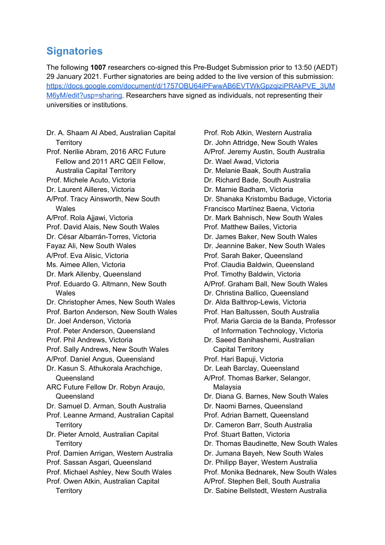### <span id="page-9-0"></span>**Signatories**

The following **1007** researchers co-signed this Pre-Budget Submission prior to 13:50 (AEDT) 29 January 2021. Further signatories are being added to the live version of this submission: [https://docs.google.com/document/d/1757OBU64iPFwwAB6EVTWkGpzqiziPRAkPVE\\_3UM](https://docs.google.com/document/d/1757OBU64iPFwwAB6EVTWkGpzqiziPRAkPVE_3UMM6yM/edit?usp=sharing) [M6yM/edit?usp=sharing](https://docs.google.com/document/d/1757OBU64iPFwwAB6EVTWkGpzqiziPRAkPVE_3UMM6yM/edit?usp=sharing). Researchers have signed as individuals, not representing their universities or institutions.

Dr. A. Shaam Al Abed, Australian Capital **Territory** Prof. Nerilie Abram, 2016 ARC Future Fellow and 2011 ARC QEII Fellow, Australia Capital Territory Prof. Michele Acuto, Victoria Dr. Laurent Ailleres, Victoria A/Prof. Tracy Ainsworth, New South Wales A/Prof. Rola Ajjawi, Victoria Prof. David Alais, New South Wales Dr. César Albarrán-Torres, Victoria Fayaz Ali, New South Wales A/Prof. Eva Alisic, Victoria Ms. Aimee Allen, Victoria Dr. Mark Allenby, Queensland Prof. Eduardo G. Altmann, New South Wales Dr. Christopher Ames, New South Wales Prof. Barton Anderson, New South Wales Dr. Joel Anderson, Victoria Prof. Peter Anderson, Queensland Prof. Phil Andrews, Victoria Prof. Sally Andrews, New South Wales A/Prof. Daniel Angus, Queensland Dr. Kasun S. Athukorala Arachchige, Queensland ARC Future Fellow Dr. Robyn Araujo, Queensland Dr. Samuel D. Arman, South Australia Prof. Leanne Armand, Australian Capital **Territory** Dr. Pieter Arnold, Australian Capital **Territory** Prof. Damien Arrigan, Western Australia Prof. Sassan Asgari, Queensland Prof. Michael Ashley, New South Wales Prof. Owen Atkin, Australian Capital **Territory** 

Prof. Rob Atkin, Western Australia Dr. John Attridge, New South Wales A/Prof. Jeremy Austin, South Australia Dr. Wael Awad, Victoria Dr. Melanie Baak, South Australia Dr. Richard Bade, South Australia Dr. Marnie Badham, Victoria Dr. Shanaka Kristombu Baduge, Victoria Francisco Martínez Baena, Victoria Dr. Mark Bahnisch, New South Wales Prof. Matthew Bailes, Victoria Dr. James Baker, New South Wales Dr. Jeannine Baker, New South Wales Prof. Sarah Baker, Queensland Prof. Claudia Baldwin, Queensland Prof. Timothy Baldwin, Victoria A/Prof. Graham Ball, New South Wales Dr. Christina Ballico, Queensland Dr. Alda Balthrop-Lewis, Victoria Prof. Han Baltussen, South Australia Prof. Maria Garcia de la Banda, Professor of Information Technology, Victoria Dr. Saeed Banihashemi, Australian Capital Territory Prof. Hari Bapuji, Victoria Dr. Leah Barclay, Queensland A/Prof. Thomas Barker, Selangor, Malaysia Dr. Diana G. Barnes, New South Wales Dr. Naomi Barnes, Queensland Prof. Adrian Barnett, Queensland Dr. Cameron Barr, South Australia Prof. Stuart Batten, Victoria Dr. Thomas Baudinette, New South Wales Dr. Jumana Bayeh, New South Wales Dr. Philipp Bayer, Western Australia Prof. Monika Bednarek, New South Wales A/Prof. Stephen Bell, South Australia Dr. Sabine Bellstedt, Western Australia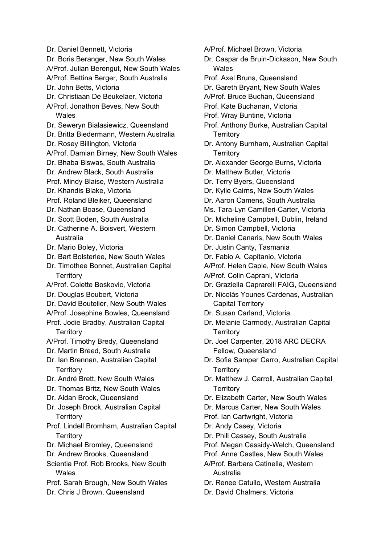- Dr. Daniel Bennett, Victoria Dr. Boris Beranger, New South Wales A/Prof. Julian Berengut, New South Wales A/Prof. Bettina Berger, South Australia Dr. John Betts, Victoria Dr. Christiaan De Beukelaer, Victoria A/Prof. Jonathon Beves, New South **Wales** Dr. Seweryn Bialasiewicz, Queensland Dr. Britta Biedermann, Western Australia Dr. Rosey Billington, Victoria A/Prof. Damian Birney, New South Wales Dr. Bhaba Biswas, South Australia Dr. Andrew Black, South Australia Prof. Mindy Blaise, Western Australia Dr. Khandis Blake, Victoria Prof. Roland Bleiker, Queensland Dr. Nathan Boase, Queensland Dr. Scott Boden, South Australia Dr. Catherine A. Boisvert, Western Australia Dr. Mario Boley, Victoria Dr. Bart Bolsterlee, New South Wales Dr. Timothee Bonnet, Australian Capital **Territory** A/Prof. Colette Boskovic, Victoria Dr. Douglas Boubert, Victoria Dr. David Boutelier, New South Wales A/Prof. Josephine Bowles, Queensland Prof. Jodie Bradby, Australian Capital **Territory** A/Prof. Timothy Bredy, Queensland Dr. Martin Breed, South Australia Dr. Ian Brennan, Australian Capital **Territory** Dr. André Brett, New South Wales Dr. Thomas Britz, New South Wales Dr. Aidan Brock, Queensland Dr. Joseph Brock, Australian Capital **Territory** Prof. Lindell Bromham, Australian Capital **Territory** Dr. Michael Bromley, Queensland Dr. Andrew Brooks, Queensland Scientia Prof. Rob Brooks, New South Wales Prof. Sarah Brough, New South Wales Dr. Chris J Brown, Queensland
- A/Prof. Michael Brown, Victoria
	- Dr. Caspar de Bruin-Dickason, New South **Wales**
	- Prof. Axel Bruns, Queensland
	- Dr. Gareth Bryant, New South Wales
	- A/Prof. Bruce Buchan, Queensland
	- Prof. Kate Buchanan, Victoria
	- Prof. Wray Buntine, Victoria
	- Prof. Anthony Burke, Australian Capital **Territory**
	- Dr. Antony Burnham, Australian Capital **Territory**
	- Dr. Alexander George Burns, Victoria
	- Dr. Matthew Butler, Victoria
	- Dr. Terry Byers, Queensland
	- Dr. Kylie Cairns, New South Wales
	- Dr. Aaron Camens, South Australia
	- Ms. Tara-Lyn Camilleri-Carter, Victoria
	- Dr. Micheline Campbell, Dublin, Ireland
	- Dr. Simon Campbell, Victoria
	- Dr. Daniel Canaris, New South Wales
	- Dr. Justin Canty, Tasmania
	- Dr. Fabio A. Capitanio, Victoria
	- A/Prof. Helen Caple, New South Wales
	- A/Prof. Colin Caprani, Victoria
	- Dr. Graziella Caprarelli FAIG, Queensland
	- Dr. Nicolás Younes Cardenas, Australian Capital Territory
	- Dr. Susan Carland, Victoria
	- Dr. Melanie Carmody, Australian Capital **Territory**
	- Dr. Joel Carpenter, 2018 ARC DECRA Fellow, Queensland
	- Dr. Sofia Samper Carro, Australian Capital **Territory**
	- Dr. Matthew J. Carroll, Australian Capital **Territory**
	- Dr. Elizabeth Carter, New South Wales
	- Dr. Marcus Carter, New South Wales
	- Prof. Ian Cartwright, Victoria
	- Dr. Andy Casey, Victoria
	- Dr. Phill Cassey, South Australia
	- Prof. Megan Cassidy-Welch, Queensland
	- Prof. Anne Castles, New South Wales
	- A/Prof. Barbara Catinella, Western Australia
	- Dr. Renee Catullo, Western Australia
	- Dr. David Chalmers, Victoria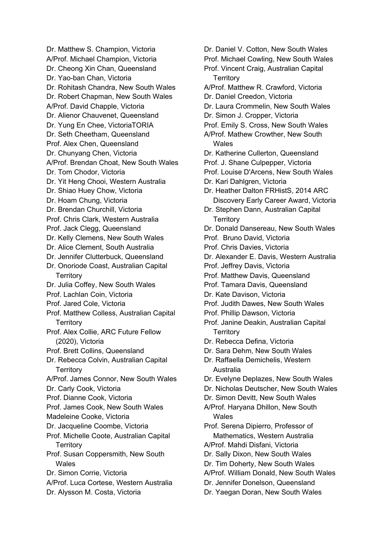Dr. Matthew S. Champion, Victoria A/Prof. Michael Champion, Victoria Dr. Cheong Xin Chan, Queensland Dr. Yao-ban Chan, Victoria Dr. Rohitash Chandra, New South Wales Dr. Robert Chapman, New South Wales A/Prof. David Chapple, Victoria Dr. Alienor Chauvenet, Queensland Dr. Yung En Chee, VictoriaTORIA Dr. Seth Cheetham, Queensland Prof. Alex Chen, Queensland Dr. Chunyang Chen, Victoria A/Prof. Brendan Choat, New South Wales Dr. Tom Chodor, Victoria Dr. Yit Heng Chooi, Western Australia Dr. Shiao Huey Chow, Victoria Dr. Hoam Chung, Victoria Dr. Brendan Churchill, Victoria Prof. Chris Clark, Western Australia Prof. Jack Clegg, Queensland Dr. Kelly Clemens, New South Wales Dr. Alice Clement, South Australia Dr. Jennifer Clutterbuck, Queensland Dr. Onoriode Coast, Australian Capital **Territory** Dr. Julia Coffey, New South Wales Prof. Lachlan Coin, Victoria Prof. Jared Cole, Victoria Prof. Matthew Colless, Australian Capital Territory Prof. Alex Collie, ARC Future Fellow (2020), Victoria Prof. Brett Collins, Queensland Dr. Rebecca Colvin, Australian Capital **Territory** A/Prof. James Connor, New South Wales Dr. Carly Cook, Victoria Prof. Dianne Cook, Victoria Prof. James Cook, New South Wales Madeleine Cooke, Victoria Dr. Jacqueline Coombe, Victoria Prof. Michelle Coote, Australian Capital **Territory** Prof. Susan Coppersmith, New South **Wales** Dr. Simon Corrie, Victoria A/Prof. Luca Cortese, Western Australia Dr. Alysson M. Costa, Victoria

Dr. Daniel V. Cotton, New South Wales Prof. Michael Cowling, New South Wales Prof. Vincent Craig, Australian Capital **Territory** A/Prof. Matthew R. Crawford, Victoria Dr. Daniel Creedon, Victoria Dr. Laura Crommelin, New South Wales Dr. Simon J. Cropper, Victoria Prof. Emily S. Cross, New South Wales A/Prof. Mathew Crowther, New South **Wales** Dr. Katherine Cullerton, Queensland Prof. J. Shane Culpepper, Victoria Prof. Louise D'Arcens, New South Wales Dr. Kari Dahlgren, Victoria Dr. Heather Dalton FRHistS, 2014 ARC Discovery Early Career Award, Victoria Dr. Stephen Dann, Australian Capital **Territory** Dr. Donald Dansereau, New South Wales Prof. Bruno David, Victoria Prof. Chris Davies, Victoria Dr. Alexander E. Davis, Western Australia Prof. Jeffrey Davis, Victoria Prof. Matthew Davis, Queensland Prof. Tamara Davis, Queensland Dr. Kate Davison, Victoria Prof. Judith Dawes, New South Wales Prof. Phillip Dawson, Victoria Prof. Janine Deakin, Australian Capital **Territory** Dr. Rebecca Defina, Victoria Dr. Sara Dehm, New South Wales Dr. Raffaella Demichelis, Western Australia Dr. Evelyne Deplazes, New South Wales Dr. Nicholas Deutscher, New South Wales Dr. Simon Devitt, New South Wales A/Prof. Haryana Dhillon, New South Wales Prof. Serena Dipierro, Professor of Mathematics, Western Australia A/Prof. Mahdi Disfani, Victoria Dr. Sally Dixon, New South Wales Dr. Tim Doherty, New South Wales A/Prof. William Donald, New South Wales Dr. Jennifer Donelson, Queensland Dr. Yaegan Doran, New South Wales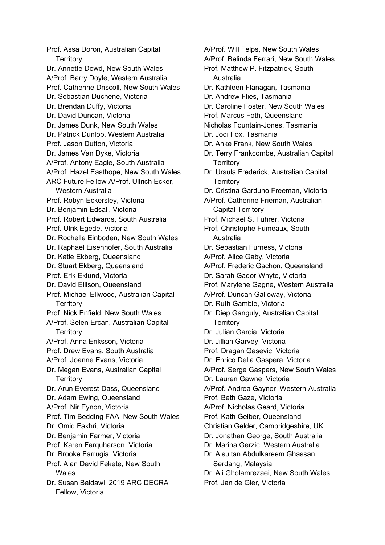Prof. Assa Doron, Australian Capital **Territory** Dr. Annette Dowd, New South Wales A/Prof. Barry Doyle, Western Australia Prof. Catherine Driscoll, New South Wales Dr. Sebastian Duchene, Victoria Dr. Brendan Duffy, Victoria Dr. David Duncan, Victoria Dr. James Dunk, New South Wales Dr. Patrick Dunlop, Western Australia Prof. Jason Dutton, Victoria Dr. James Van Dyke, Victoria A/Prof. Antony Eagle, South Australia A/Prof. Hazel Easthope, New South Wales ARC Future Fellow A/Prof. Ullrich Ecker, Western Australia Prof. Robyn Eckersley, Victoria Dr. Benjamin Edsall, Victoria Prof. Robert Edwards, South Australia Prof. Ulrik Egede, Victoria Dr. Rochelle Einboden, New South Wales Dr. Raphael Eisenhofer, South Australia Dr. Katie Ekberg, Queensland Dr. Stuart Ekberg, Queensland Prof. Erik Eklund, Victoria Dr. David Ellison, Queensland Prof. Michael Ellwood, Australian Capital **Territory** Prof. Nick Enfield, New South Wales A/Prof. Selen Ercan, Australian Capital **Territory** A/Prof. Anna Eriksson, Victoria Prof. Drew Evans, South Australia A/Prof. Joanne Evans, Victoria Dr. Megan Evans, Australian Capital **Territory** Dr. Arun Everest-Dass, Queensland Dr. Adam Ewing, Queensland A/Prof. Nir Eynon, Victoria Prof. Tim Bedding FAA, New South Wales Dr. Omid Fakhri, Victoria Dr. Benjamin Farmer, Victoria Prof. Karen Farquharson, Victoria Dr. Brooke Farrugia, Victoria Prof. Alan David Fekete, New South **Wales** Dr. Susan Baidawi, 2019 ARC DECRA Fellow, Victoria

A/Prof. Will Felps, New South Wales A/Prof. Belinda Ferrari, New South Wales Prof. Matthew P. Fitzpatrick, South Australia Dr. Kathleen Flanagan, Tasmania Dr. Andrew Flies, Tasmania Dr. Caroline Foster, New South Wales Prof. Marcus Foth, Queensland Nicholas Fountain-Jones, Tasmania Dr. Jodi Fox, Tasmania Dr. Anke Frank, New South Wales Dr. Terry Frankcombe, Australian Capital **Territory** Dr. Ursula Frederick, Australian Capital **Territory** Dr. Cristina Garduno Freeman, Victoria A/Prof. Catherine Frieman, Australian Capital Territory Prof. Michael S. Fuhrer, Victoria Prof. Christophe Fumeaux, South Australia Dr. Sebastian Furness, Victoria A/Prof. Alice Gaby, Victoria A/Prof. Frederic Gachon, Queensland Dr. Sarah Gador-Whyte, Victoria Prof. Marylene Gagne, Western Australia A/Prof. Duncan Galloway, Victoria Dr. Ruth Gamble, Victoria Dr. Diep Ganguly, Australian Capital **Territory** Dr. Julian Garcia, Victoria Dr. Jillian Garvey, Victoria Prof. Dragan Gasevic, Victoria Dr. Enrico Della Gaspera, Victoria A/Prof. Serge Gaspers, New South Wales Dr. Lauren Gawne, Victoria A/Prof. Andrea Gaynor, Western Australia Prof. Beth Gaze, Victoria A/Prof. Nicholas Geard, Victoria Prof. Kath Gelber, Queensland Christian Gelder, Cambridgeshire, UK Dr. Jonathan George, South Australia Dr. Marina Gerzic, Western Australia Dr. Alsultan Abdulkareem Ghassan, Serdang, Malaysia Dr. Ali Gholamrezaei, New South Wales Prof. Jan de Gier, Victoria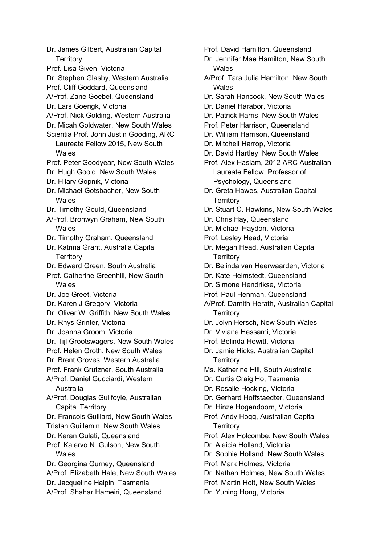Dr. James Gilbert, Australian Capital **Territory** Prof. Lisa Given, Victoria Dr. Stephen Glasby, Western Australia Prof. Cliff Goddard, Queensland A/Prof. Zane Goebel, Queensland Dr. Lars Goerigk, Victoria A/Prof. Nick Golding, Western Australia Dr. Micah Goldwater, New South Wales Scientia Prof. John Justin Gooding, ARC Laureate Fellow 2015, New South **Wales** Prof. Peter Goodyear, New South Wales Dr. Hugh Goold, New South Wales Dr. Hilary Gopnik, Victoria Dr. Michael Gotsbacher, New South Wales Dr. Timothy Gould, Queensland A/Prof. Bronwyn Graham, New South Wales Dr. Timothy Graham, Queensland Dr. Katrina Grant, Australia Capital **Territory** Dr. Edward Green, South Australia Prof. Catherine Greenhill, New South **Wales** Dr. Joe Greet, Victoria Dr. Karen J Gregory, Victoria Dr. Oliver W. Griffith, New South Wales Dr. Rhys Grinter, Victoria Dr. Joanna Groom, Victoria Dr. Tijl Grootswagers, New South Wales Prof. Helen Groth, New South Wales Dr. Brent Groves, Western Australia Prof. Frank Grutzner, South Australia A/Prof. Daniel Gucciardi, Western Australia A/Prof. Douglas Guilfoyle, Australian Capital Territory Dr. Francois Guillard, New South Wales Tristan Guillemin, New South Wales Dr. Karan Gulati, Queensland Prof. Kalervo N. Gulson, New South Wales Dr. Georgina Gurney, Queensland A/Prof. Elizabeth Hale, New South Wales Dr. Jacqueline Halpin, Tasmania A/Prof. Shahar Hameiri, Queensland

Prof. David Hamilton, Queensland

Dr. Jennifer Mae Hamilton, New South **Wales** 

- A/Prof. Tara Julia Hamilton, New South Wales
- Dr. Sarah Hancock, New South Wales
- Dr. Daniel Harabor, Victoria
- Dr. Patrick Harris, New South Wales
- Prof. Peter Harrison, Queensland
- Dr. William Harrison, Queensland
- Dr. Mitchell Harrop, Victoria
- Dr. David Hartley, New South Wales

Prof. Alex Haslam, 2012 ARC Australian Laureate Fellow, Professor of Psychology, Queensland

- Dr. Greta Hawes, Australian Capital **Territory**
- Dr. Stuart C. Hawkins, New South Wales
- Dr. Chris Hay, Queensland
- Dr. Michael Haydon, Victoria
- Prof. Lesley Head, Victoria
- Dr. Megan Head, Australian Capital **Territory**
- Dr. Belinda van Heerwaarden, Victoria
- Dr. Kate Helmstedt, Queensland
- Dr. Simone Hendrikse, Victoria
- Prof. Paul Henman, Queensland
- A/Prof. Damith Herath, Australian Capital **Territory**
- Dr. Jolyn Hersch, New South Wales
- Dr. Viviane Hessami, Victoria
- Prof. Belinda Hewitt, Victoria

Dr. Jamie Hicks, Australian Capital **Territory** 

- Ms. Katherine Hill, South Australia
- Dr. Curtis Craig Ho, Tasmania
- Dr. Rosalie Hocking, Victoria
- Dr. Gerhard Hoffstaedter, Queensland
- Dr. Hinze Hogendoorn, Victoria
- Prof. Andy Hogg, Australian Capital **Territory**
- Prof. Alex Holcombe, New South Wales
- Dr. Aleicia Holland, Victoria
- Dr. Sophie Holland, New South Wales
- Prof. Mark Holmes, Victoria
- Dr. Nathan Holmes, New South Wales
- Prof. Martin Holt, New South Wales
- Dr. Yuning Hong, Victoria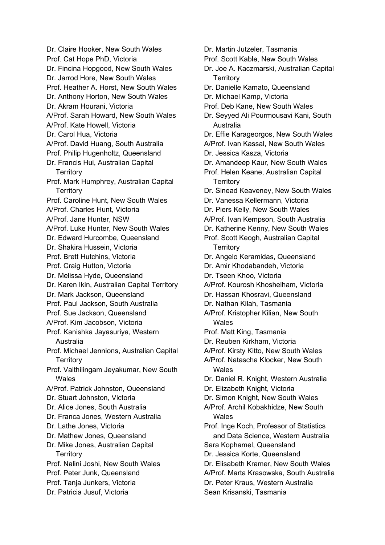Dr. Claire Hooker, New South Wales Prof. Cat Hope PhD, Victoria Dr. Fincina Hopgood, New South Wales Dr. Jarrod Hore, New South Wales Prof. Heather A. Horst, New South Wales Dr. Anthony Horton, New South Wales Dr. Akram Hourani, Victoria A/Prof. Sarah Howard, New South Wales A/Prof. Kate Howell, Victoria Dr. Carol Hua, Victoria A/Prof. David Huang, South Australia Prof. Philip Hugenholtz, Queensland Dr. Francis Hui, Australian Capital **Territory** Prof. Mark Humphrey, Australian Capital **Territory** Prof. Caroline Hunt, New South Wales A/Prof. Charles Hunt, Victoria A/Prof. Jane Hunter, NSW A/Prof. Luke Hunter, New South Wales Dr. Edward Hurcombe, Queensland Dr. Shakira Hussein, Victoria Prof. Brett Hutchins, Victoria Prof. Craig Hutton, Victoria Dr. Melissa Hyde, Queensland Dr. Karen Ikin, Australian Capital Territory Dr. Mark Jackson, Queensland Prof. Paul Jackson, South Australia Prof. Sue Jackson, Queensland A/Prof. Kim Jacobson, Victoria Prof. Kanishka Jayasuriya, Western Australia Prof. Michael Jennions, Australian Capital **Territory** Prof. Vaithilingam Jeyakumar, New South **Wales** A/Prof. Patrick Johnston, Queensland Dr. Stuart Johnston, Victoria Dr. Alice Jones, South Australia Dr. Franca Jones, Western Australia Dr. Lathe Jones, Victoria Dr. Mathew Jones, Queensland Dr. Mike Jones, Australian Capital **Territory** Prof. Nalini Joshi, New South Wales Prof. Peter Junk, Queensland Prof. Tanja Junkers, Victoria Dr. Patricia Jusuf, Victoria

Prof. Scott Kable, New South Wales Dr. Joe A. Kaczmarski, Australian Capital **Territory** Dr. Danielle Kamato, Queensland Dr. Michael Kamp, Victoria Prof. Deb Kane, New South Wales Dr. Seyyed Ali Pourmousavi Kani, South Australia Dr. Effie Karageorgos, New South Wales A/Prof. Ivan Kassal, New South Wales Dr. Jessica Kasza, Victoria Dr. Amandeep Kaur, New South Wales Prof. Helen Keane, Australian Capital **Territory** Dr. Sinead Keaveney, New South Wales Dr. Vanessa Kellermann, Victoria Dr. Piers Kelly, New South Wales A/Prof. Ivan Kempson, South Australia Dr. Katherine Kenny, New South Wales Prof. Scott Keogh, Australian Capital **Territory** Dr. Angelo Keramidas, Queensland Dr. Amir Khodabandeh, Victoria Dr. Tseen Khoo, Victoria A/Prof. Kourosh Khoshelham, Victoria Dr. Hassan Khosravi, Queensland Dr. Nathan Kilah, Tasmania A/Prof. Kristopher Kilian, New South Wales Prof. Matt King, Tasmania Dr. Reuben Kirkham, Victoria A/Prof. Kirsty Kitto, New South Wales A/Prof. Natascha Klocker, New South Wales Dr. Daniel R. Knight, Western Australia Dr. Elizabeth Knight, Victoria Dr. Simon Knight, New South Wales A/Prof. Archil Kobakhidze, New South Wales Prof. Inge Koch, Professor of Statistics and Data Science, Western Australia Sara Kophamel, Queensland Dr. Jessica Korte, Queensland Dr. Elisabeth Kramer, New South Wales A/Prof. Marta Krasowska, South Australia Dr. Peter Kraus, Western Australia Sean Krisanski, Tasmania

Dr. Martin Jutzeler, Tasmania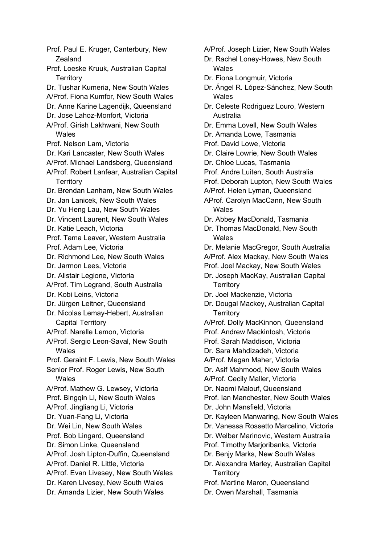Prof. Paul E. Kruger, Canterbury, New Zealand Prof. Loeske Kruuk, Australian Capital **Territory** Dr. Tushar Kumeria, New South Wales A/Prof. Fiona Kumfor, New South Wales Dr. Anne Karine Lagendijk, Queensland Dr. Jose Lahoz-Monfort, Victoria A/Prof. Girish Lakhwani, New South Wales Prof. Nelson Lam, Victoria Dr. Kari Lancaster, New South Wales A/Prof. Michael Landsberg, Queensland A/Prof. Robert Lanfear, Australian Capital **Territory** Dr. Brendan Lanham, New South Wales Dr. Jan Lanicek, New South Wales Dr. Yu Heng Lau, New South Wales Dr. Vincent Laurent, New South Wales Dr. Katie Leach, Victoria Prof. Tama Leaver, Western Australia Prof. Adam Lee, Victoria Dr. Richmond Lee, New South Wales Dr. Jarmon Lees, Victoria Dr. Alistair Legione, Victoria A/Prof. Tim Legrand, South Australia Dr. Kobi Leins, Victoria Dr. Jürgen Leitner, Queensland Dr. Nicolas Lemay-Hebert, Australian Capital Territory A/Prof. Narelle Lemon, Victoria A/Prof. Sergio Leon-Saval, New South **Wales** Prof. Geraint F. Lewis, New South Wales Senior Prof. Roger Lewis, New South **Wales** A/Prof. Mathew G. Lewsey, Victoria Prof. Bingqin Li, New South Wales A/Prof. Jingliang Li, Victoria Dr. Yuan-Fang Li, Victoria Dr. Wei Lin, New South Wales Prof. Bob Lingard, Queensland Dr. Simon Linke, Queensland A/Prof. Josh Lipton-Duffin, Queensland A/Prof. Daniel R. Little, Victoria A/Prof. Evan Livesey, New South Wales Dr. Karen Livesey, New South Wales Dr. Amanda Lizier, New South Wales

A/Prof. Joseph Lizier, New South Wales

- Dr. Rachel Loney-Howes, New South Wales
- Dr. Fiona Longmuir, Victoria
- Dr. Ángel R. López-Sánchez, New South Wales
- Dr. Celeste Rodriguez Louro, Western Australia
- Dr. Emma Lovell, New South Wales
- Dr. Amanda Lowe, Tasmania
- Prof. David Lowe, Victoria
- Dr. Claire Lowrie, New South Wales
- Dr. Chloe Lucas, Tasmania
- Prof. Andre Luiten, South Australia
- Prof. Deborah Lupton, New South Wales
- A/Prof. Helen Lyman, Queensland
- AProf. Carolyn MacCann, New South Wales
- Dr. Abbey MacDonald, Tasmania
- Dr. Thomas MacDonald, New South **Wales**
- Dr. Melanie MacGregor, South Australia
- A/Prof. Alex Mackay, New South Wales
- Prof. Joel Mackay, New South Wales
- Dr. Joseph MacKay, Australian Capital **Territory**
- Dr. Joel Mackenzie, Victoria
- Dr. Dougal Mackey, Australian Capital **Territory**
- A/Prof. Dolly MacKinnon, Queensland
- Prof. Andrew Mackintosh, Victoria
- Prof. Sarah Maddison, Victoria
- Dr. Sara Mahdizadeh, Victoria
- A/Prof. Megan Maher, Victoria
- Dr. Asif Mahmood, New South Wales
- A/Prof. Cecily Maller, Victoria

Dr. Naomi Malouf, Queensland

- Prof. Ian Manchester, New South Wales
- Dr. John Mansfield, Victoria
- Dr. Kayleen Manwaring, New South Wales
- Dr. Vanessa Rossetto Marcelino, Victoria
- Dr. Welber Marinovic, Western Australia
- Prof. Timothy Marjoribanks, Victoria
- Dr. Benjy Marks, New South Wales
- Dr. Alexandra Marley, Australian Capital **Territory**
- Prof. Martine Maron, Queensland
- Dr. Owen Marshall, Tasmania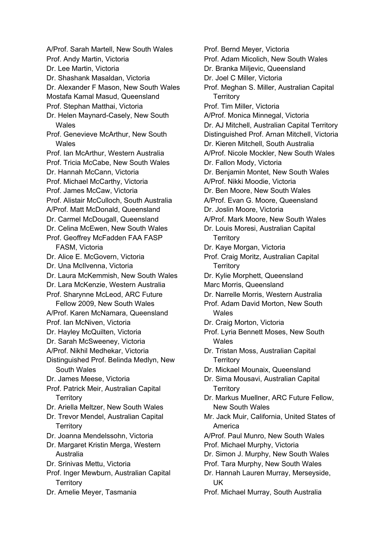A/Prof. Sarah Martell, New South Wales Prof. Andy Martin, Victoria Dr. Lee Martin, Victoria Dr. Shashank Masaldan, Victoria Dr. Alexander F Mason, New South Wales Mostafa Kamal Masud, Queensland Prof. Stephan Matthai, Victoria Dr. Helen Maynard-Casely, New South **Wales** Prof. Genevieve McArthur, New South **Wales** Prof. Ian McArthur, Western Australia Prof. Tricia McCabe, New South Wales Dr. Hannah McCann, Victoria Prof. Michael McCarthy, Victoria Prof. James McCaw, Victoria Prof. Alistair McCulloch, South Australia A/Prof. Matt McDonald, Queensland Dr. Carmel McDougall, Queensland Dr. Celina McEwen, New South Wales Prof. Geoffrey McFadden FAA FASP FASM, Victoria Dr. Alice E. McGovern, Victoria Dr. Una McIlvenna, Victoria Dr. Laura McKemmish, New South Wales Dr. Lara McKenzie, Western Australia Prof. Sharynne McLeod, ARC Future Fellow 2009, New South Wales A/Prof. Karen McNamara, Queensland Prof. Ian McNiven, Victoria Dr. Hayley McQuilten, Victoria Dr. Sarah McSweeney, Victoria A/Prof. Nikhil Medhekar, Victoria Distinguished Prof. Belinda Medlyn, New South Wales Dr. James Meese, Victoria Prof. Patrick Meir, Australian Capital **Territory** Dr. Ariella Meltzer, New South Wales Dr. Trevor Mendel, Australian Capital **Territory** Dr. Joanna Mendelssohn, Victoria Dr. Margaret Kristin Merga, Western Australia Dr. Srinivas Mettu, Victoria Prof. Inger Mewburn, Australian Capital **Territory** Dr. Amelie Meyer, Tasmania

Prof. Bernd Meyer, Victoria Prof. Adam Micolich, New South Wales Dr. Branka Miljevic, Queensland Dr. Joel C Miller, Victoria Prof. Meghan S. Miller, Australian Capital **Territory** Prof. Tim Miller, Victoria A/Prof. Monica Minnegal, Victoria Dr. AJ Mitchell, Australian Capital Territory Distinguished Prof. Arnan Mitchell, Victoria Dr. Kieren Mitchell, South Australia A/Prof. Nicole Mockler, New South Wales Dr. Fallon Mody, Victoria Dr. Benjamin Montet, New South Wales A/Prof. Nikki Moodie, Victoria Dr. Ben Moore, New South Wales A/Prof. Evan G. Moore, Queensland Dr. Joslin Moore, Victoria A/Prof. Mark Moore, New South Wales Dr. Louis Moresi, Australian Capital **Territory** Dr. Kaye Morgan, Victoria Prof. Craig Moritz, Australian Capital **Territory** Dr. Kylie Morphett, Queensland Marc Morris, Queensland Dr. Narrelle Morris, Western Australia Prof. Adam David Morton, New South Wales Dr. Craig Morton, Victoria Prof. Lyria Bennett Moses, New South Wales Dr. Tristan Moss, Australian Capital **Territory** Dr. Mickael Mounaix, Queensland Dr. Sima Mousavi, Australian Capital **Territory** Dr. Markus Muellner, ARC Future Fellow, New South Wales Mr. Jack Muir, California, United States of America A/Prof. Paul Munro, New South Wales Prof. Michael Murphy, Victoria Dr. Simon J. Murphy, New South Wales Prof. Tara Murphy, New South Wales Dr. Hannah Lauren Murray, Merseyside, UK Prof. Michael Murray, South Australia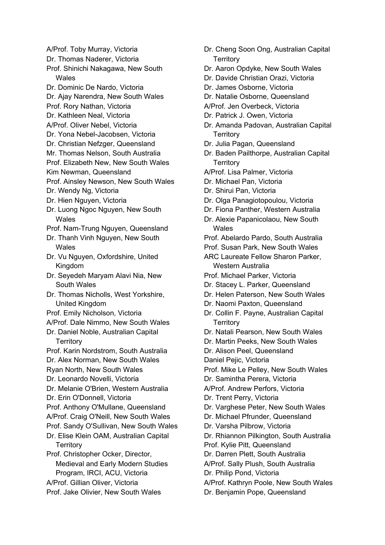A/Prof. Toby Murray, Victoria Dr. Thomas Naderer, Victoria Prof. Shinichi Nakagawa, New South Wales Dr. Dominic De Nardo, Victoria Dr. Ajay Narendra, New South Wales Prof. Rory Nathan, Victoria Dr. Kathleen Neal, Victoria A/Prof. Oliver Nebel, Victoria Dr. Yona Nebel-Jacobsen, Victoria Dr. Christian Nefzger, Queensland Mr. Thomas Nelson, South Australia Prof. Elizabeth New, New South Wales Kim Newman, Queensland Prof. Ainsley Newson, New South Wales Dr. Wendy Ng, Victoria Dr. Hien Nguyen, Victoria Dr. Luong Ngoc Nguyen, New South **Wales** Prof. Nam-Trung Nguyen, Queensland Dr. Thanh Vinh Nguyen, New South Wales Dr. Vu Nguyen, Oxfordshire, United Kingdom Dr. Seyedeh Maryam Alavi Nia, New South Wales Dr. Thomas Nicholls, West Yorkshire, United Kingdom Prof. Emily Nicholson, Victoria A/Prof. Dale Nimmo, New South Wales Dr. Daniel Noble, Australian Capital **Territory** Prof. Karin Nordstrom, South Australia Dr. Alex Norman, New South Wales Ryan North, New South Wales Dr. Leonardo Novelli, Victoria Dr. Melanie O'Brien, Western Australia Dr. Erin O'Donnell, Victoria Prof. Anthony O'Mullane, Queensland A/Prof. Craig O'Neill, New South Wales Prof. Sandy O'Sullivan, New South Wales Dr. Elise Klein OAM, Australian Capital **Territory** Prof. Christopher Ocker, Director, Medieval and Early Modern Studies Program, IRCI, ACU, Victoria A/Prof. Gillian Oliver, Victoria Prof. Jake Olivier, New South Wales

- Dr. Cheng Soon Ong, Australian Capital **Territory**
- Dr. Aaron Opdyke, New South Wales
- Dr. Davide Christian Orazi, Victoria
- Dr. James Osborne, Victoria
- Dr. Natalie Osborne, Queensland
- A/Prof. Jen Overbeck, Victoria
- Dr. Patrick J. Owen, Victoria
- Dr. Amanda Padovan, Australian Capital **Territory**
- Dr. Julia Pagan, Queensland
- Dr. Baden Pailthorpe, Australian Capital **Territory**
- A/Prof. Lisa Palmer, Victoria
- Dr. Michael Pan, Victoria
- Dr. Shirui Pan, Victoria
- Dr. Olga Panagiotopoulou, Victoria
- Dr. Fiona Panther, Western Australia
- Dr. Alexie Papanicolaou, New South **Wales**
- Prof. Abelardo Pardo, South Australia
- Prof. Susan Park, New South Wales
- ARC Laureate Fellow Sharon Parker, Western Australia
- Prof. Michael Parker, Victoria
- Dr. Stacey L. Parker, Queensland
- Dr. Helen Paterson, New South Wales
- Dr. Naomi Paxton, Queensland
- Dr. Collin F. Payne, Australian Capital **Territory**
- Dr. Natali Pearson, New South Wales
- Dr. Martin Peeks, New South Wales
- Dr. Alison Peel, Queensland

Daniel Pejic, Victoria

- Prof. Mike Le Pelley, New South Wales
- Dr. Samintha Perera, Victoria
- A/Prof. Andrew Perfors, Victoria
- Dr. Trent Perry, Victoria
- Dr. Varghese Peter, New South Wales
- Dr. Michael Pfrunder, Queensland
- Dr. Varsha Pilbrow, Victoria

Dr. Rhiannon Pilkington, South Australia

- Prof. Kylie Pitt, Queensland
- Dr. Darren Plett, South Australia
- A/Prof. Sally Plush, South Australia
- Dr. Philip Pond, Victoria
- A/Prof. Kathryn Poole, New South Wales Dr. Benjamin Pope, Queensland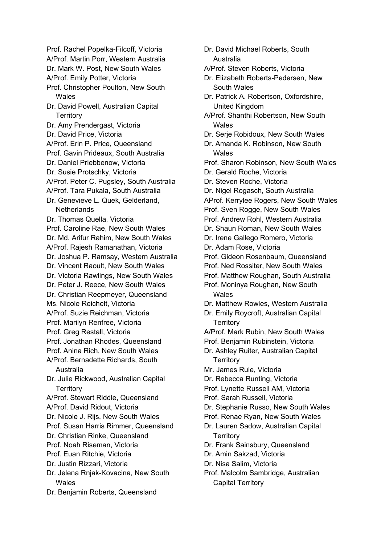Prof. Rachel Popelka-Filcoff, Victoria A/Prof. Martin Porr, Western Australia Dr. Mark W. Post, New South Wales A/Prof. Emily Potter, Victoria Prof. Christopher Poulton, New South Wales Dr. David Powell, Australian Capital **Territory** Dr. Amy Prendergast, Victoria Dr. David Price, Victoria A/Prof. Erin P. Price, Queensland Prof. Gavin Prideaux, South Australia Dr. Daniel Priebbenow, Victoria Dr. Susie Protschky, Victoria A/Prof. Peter C. Pugsley, South Australia A/Prof. Tara Pukala, South Australia Dr. Genevieve L. Quek, Gelderland, **Netherlands** Dr. Thomas Quella, Victoria Prof. Caroline Rae, New South Wales Dr. Md. Arifur Rahim, New South Wales A/Prof. Rajesh Ramanathan, Victoria Dr. Joshua P. Ramsay, Western Australia Dr. Vincent Raoult, New South Wales Dr. Victoria Rawlings, New South Wales Dr. Peter J. Reece, New South Wales Dr. Christian Reepmeyer, Queensland Ms. Nicole Reichelt, Victoria A/Prof. Suzie Reichman, Victoria Prof. Marilyn Renfree, Victoria Prof. Greg Restall, Victoria Prof. Jonathan Rhodes, Queensland Prof. Anina Rich, New South Wales A/Prof. Bernadette Richards, South Australia Dr. Julie Rickwood, Australian Capital **Territory** A/Prof. Stewart Riddle, Queensland A/Prof. David Ridout, Victoria Dr. Nicole J. Rijs, New South Wales Prof. Susan Harris Rimmer, Queensland Dr. Christian Rinke, Queensland Prof. Noah Riseman, Victoria Prof. Euan Ritchie, Victoria Dr. Justin Rizzari, Victoria Dr. Jelena Rnjak-Kovacina, New South Wales

Dr. Benjamin Roberts, Queensland

Australia A/Prof. Steven Roberts, Victoria Dr. Elizabeth Roberts-Pedersen, New South Wales Dr. Patrick A. Robertson, Oxfordshire, United Kingdom A/Prof. Shanthi Robertson, New South Wales Dr. Serje Robidoux, New South Wales Dr. Amanda K. Robinson, New South **Wales** Prof. Sharon Robinson, New South Wales Dr. Gerald Roche, Victoria Dr. Steven Roche, Victoria Dr. Nigel Rogasch, South Australia AProf. Kerrylee Rogers, New South Wales Prof. Sven Rogge, New South Wales Prof. Andrew Rohl, Western Australia Dr. Shaun Roman, New South Wales Dr. Irene Gallego Romero, Victoria Dr. Adam Rose, Victoria Prof. Gideon Rosenbaum, Queensland Prof. Ned Rossiter, New South Wales Prof. Matthew Roughan, South Australia Prof. Moninya Roughan, New South Wales Dr. Matthew Rowles, Western Australia Dr. Emily Roycroft, Australian Capital **Territory** A/Prof. Mark Rubin, New South Wales Prof. Benjamin Rubinstein, Victoria Dr. Ashley Ruiter, Australian Capital **Territory** Mr. James Rule, Victoria Dr. Rebecca Runting, Victoria Prof. Lynette Russell AM, Victoria Prof. Sarah Russell, Victoria Dr. Stephanie Russo, New South Wales Prof. Renae Ryan, New South Wales Dr. Lauren Sadow, Australian Capital **Territory** Dr. Frank Sainsbury, Queensland Dr. Amin Sakzad, Victoria Dr. Nisa Salim, Victoria Prof. Malcolm Sambridge, Australian Capital Territory

Dr. David Michael Roberts, South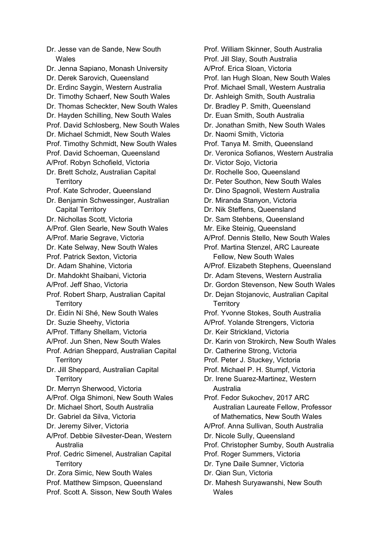Dr. Jesse van de Sande, New South Wales Dr. Jenna Sapiano, Monash University Dr. Derek Sarovich, Queensland Dr. Erdinc Saygin, Western Australia Dr. Timothy Schaerf, New South Wales Dr. Thomas Scheckter, New South Wales Dr. Hayden Schilling, New South Wales Prof. David Schlosberg, New South Wales Dr. Michael Schmidt, New South Wales Prof. Timothy Schmidt, New South Wales Prof. David Schoeman, Queensland A/Prof. Robyn Schofield, Victoria Dr. Brett Scholz, Australian Capital **Territory** Prof. Kate Schroder, Queensland Dr. Benjamin Schwessinger, Australian Capital Territory Dr. Nichollas Scott, Victoria A/Prof. Glen Searle, New South Wales A/Prof. Marie Segrave, Victoria Dr. Kate Selway, New South Wales Prof. Patrick Sexton, Victoria Dr. Adam Shahine, Victoria Dr. Mahdokht Shaibani, Victoria A/Prof. Jeff Shao, Victoria Prof. Robert Sharp, Australian Capital **Territory** Dr. Éidín Ní Shé, New South Wales Dr. Suzie Sheehy, Victoria A/Prof. Tiffany Shellam, Victoria A/Prof. Jun Shen, New South Wales Prof. Adrian Sheppard, Australian Capital **Territory** Dr. Jill Sheppard, Australian Capital **Territory** Dr. Merryn Sherwood, Victoria A/Prof. Olga Shimoni, New South Wales Dr. Michael Short, South Australia Dr. Gabriel da Silva, Victoria Dr. Jeremy Silver, Victoria A/Prof. Debbie Silvester-Dean, Western Australia Prof. Cedric Simenel, Australian Capital **Territory** Dr. Zora Simic, New South Wales Prof. Matthew Simpson, Queensland Prof. Scott A. Sisson, New South Wales

Prof. William Skinner, South Australia Prof. Jill Slay, South Australia A/Prof. Erica Sloan, Victoria Prof. Ian Hugh Sloan, New South Wales Prof. Michael Small, Western Australia Dr. Ashleigh Smith, South Australia Dr. Bradley P. Smith, Queensland Dr. Euan Smith, South Australia Dr. Jonathan Smith, New South Wales Dr. Naomi Smith, Victoria Prof. Tanya M. Smith, Queensland Dr. Veronica Sofianos, Western Australia Dr. Victor Sojo, Victoria Dr. Rochelle Soo, Queensland Dr. Peter Southon, New South Wales Dr. Dino Spagnoli, Western Australia Dr. Miranda Stanyon, Victoria Dr. Nik Steffens, Queensland Dr. Sam Stehbens, Queensland Mr. Eike Steinig, Queensland A/Prof. Dennis Stello, New South Wales Prof. Martina Stenzel, ARC Laureate Fellow, New South Wales A/Prof. Elizabeth Stephens, Queensland Dr. Adam Stevens, Western Australia Dr. Gordon Stevenson, New South Wales Dr. Dejan Stojanovic, Australian Capital **Territory** Prof. Yvonne Stokes, South Australia A/Prof. Yolande Strengers, Victoria Dr. Keir Strickland, Victoria Dr. Karin von Strokirch, New South Wales Dr. Catherine Strong, Victoria Prof. Peter J. Stuckey, Victoria Prof. Michael P. H. Stumpf, Victoria Dr. Irene Suarez-Martinez, Western Australia Prof. Fedor Sukochev, 2017 ARC Australian Laureate Fellow, Professor of Mathematics, New South Wales A/Prof. Anna Sullivan, South Australia Dr. Nicole Sully, Queensland Prof. Christopher Sumby, South Australia Prof. Roger Summers, Victoria Dr. Tyne Daile Sumner, Victoria Dr. Qian Sun, Victoria Dr. Mahesh Suryawanshi, New South Wales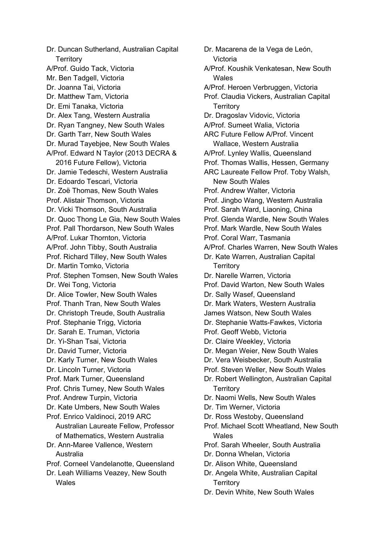Dr. Duncan Sutherland, Australian Capital **Territory** A/Prof. Guido Tack, Victoria Mr. Ben Tadgell, Victoria Dr. Joanna Tai, Victoria Dr. Matthew Tam, Victoria Dr. Emi Tanaka, Victoria Dr. Alex Tang, Western Australia Dr. Ryan Tangney, New South Wales Dr. Garth Tarr, New South Wales Dr. Murad Tayebjee, New South Wales A/Prof. Edward N Taylor (2013 DECRA & 2016 Future Fellow), Victoria Dr. Jamie Tedeschi, Western Australia Dr. Edoardo Tescari, Victoria Dr. Zoë Thomas, New South Wales Prof. Alistair Thomson, Victoria Dr. Vicki Thomson, South Australia Dr. Quoc Thong Le Gia, New South Wales Prof. Pall Thordarson, New South Wales A/Prof. Lukar Thornton, Victoria A/Prof. John Tibby, South Australia Prof. Richard Tilley, New South Wales Dr. Martin Tomko, Victoria Prof. Stephen Tomsen, New South Wales Dr. Wei Tong, Victoria Dr. Alice Towler, New South Wales Prof. Thanh Tran, New South Wales Dr. Christoph Treude, South Australia Prof. Stephanie Trigg, Victoria Dr. Sarah E. Truman, Victoria Dr. Yi-Shan Tsai, Victoria Dr. David Turner, Victoria Dr. Karly Turner, New South Wales Dr. Lincoln Turner, Victoria Prof. Mark Turner, Queensland Prof. Chris Turney, New South Wales Prof. Andrew Turpin, Victoria Dr. Kate Umbers, New South Wales Prof. Enrico Valdinoci, 2019 ARC Australian Laureate Fellow, Professor of Mathematics, Western Australia Dr. Ann-Maree Vallence, Western Australia Prof. Corneel Vandelanotte, Queensland Dr. Leah Williams Veazey, New South Wales

Dr. Macarena de la Vega de León, Victoria A/Prof. Koushik Venkatesan, New South Wales A/Prof. Heroen Verbruggen, Victoria Prof. Claudia Vickers, Australian Capital **Territory** Dr. Dragoslav Vidovic, Victoria A/Prof. Sumeet Walia, Victoria ARC Future Fellow A/Prof. Vincent Wallace, Western Australia A/Prof. Lynley Wallis, Queensland Prof. Thomas Wallis, Hessen, Germany ARC Laureate Fellow Prof. Toby Walsh, New South Wales Prof. Andrew Walter, Victoria Prof. Jingbo Wang, Western Australia Prof. Sarah Ward, Liaoning, China Prof. Glenda Wardle, New South Wales Prof. Mark Wardle, New South Wales Prof. Coral Warr, Tasmania A/Prof. Charles Warren, New South Wales Dr. Kate Warren, Australian Capital **Territory** Dr. Narelle Warren, Victoria Prof. David Warton, New South Wales Dr. Sally Wasef, Queensland Dr. Mark Waters, Western Australia James Watson, New South Wales Dr. Stephanie Watts-Fawkes, Victoria Prof. Geoff Webb, Victoria Dr. Claire Weekley, Victoria Dr. Megan Weier, New South Wales Dr. Vera Weisbecker, South Australia Prof. Steven Weller, New South Wales Dr. Robert Wellington, Australian Capital **Territory** Dr. Naomi Wells, New South Wales Dr. Tim Werner, Victoria Dr. Ross Westoby, Queensland Prof. Michael Scott Wheatland, New South **Wales** Prof. Sarah Wheeler, South Australia Dr. Donna Whelan, Victoria Dr. Alison White, Queensland Dr. Angela White, Australian Capital **Territory** 

Dr. Devin White, New South Wales